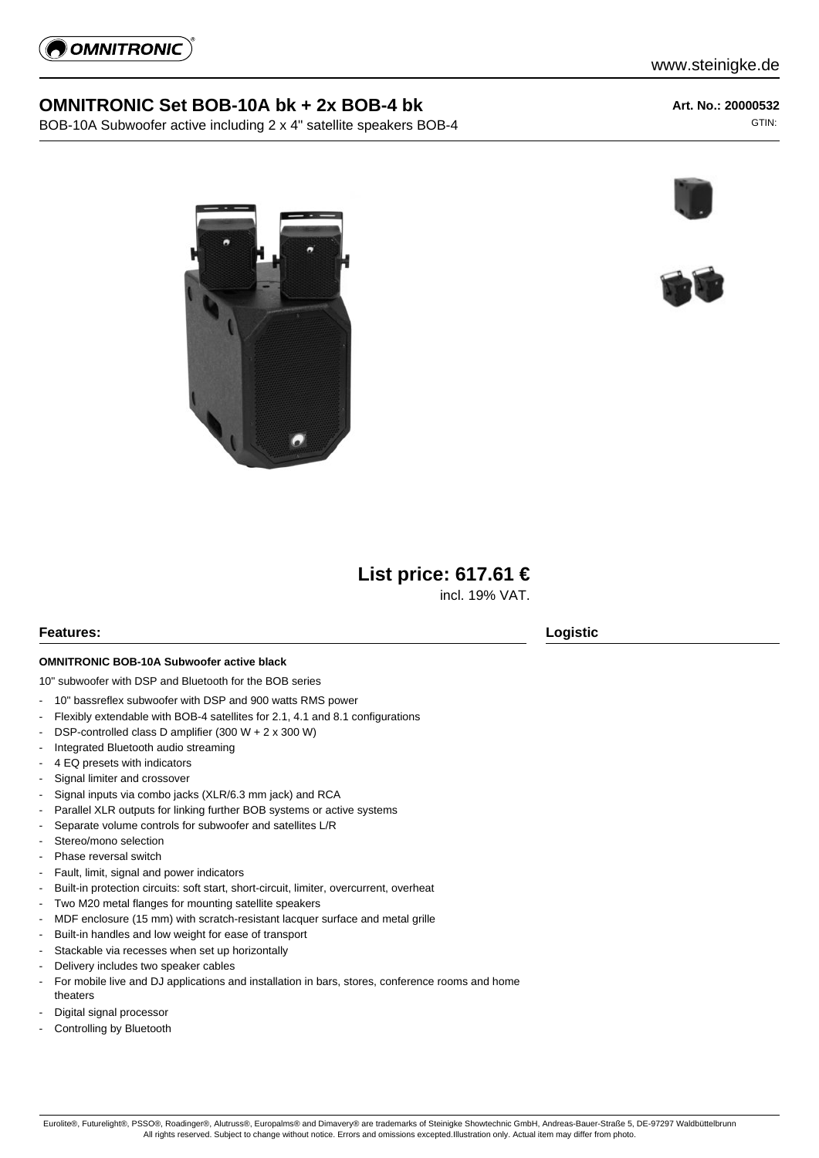

# **OMNITRONIC Set BOB-10A bk + 2x BOB-4 bk**

BOB-10A Subwoofer active including 2 x 4" satellite speakers BOB-4

**Art. No.: 20000532** GTIN:









incl. 19% VAT.

## **Features: Logistic**

# **OMNITRONIC BOB-10A Subwoofer active black**

10" subwoofer with DSP and Bluetooth for the BOB series

- 10" bassreflex subwoofer with DSP and 900 watts RMS power
- Flexibly extendable with BOB-4 satellites for 2.1, 4.1 and 8.1 configurations
- DSP-controlled class D amplifier (300 W + 2 x 300 W)
- Integrated Bluetooth audio streaming
- 4 EQ presets with indicators
- Signal limiter and crossover
- Signal inputs via combo jacks (XLR/6.3 mm jack) and RCA
- Parallel XLR outputs for linking further BOB systems or active systems
- Separate volume controls for subwoofer and satellites L/R
- Stereo/mono selection
- Phase reversal switch
- Fault, limit, signal and power indicators
- Built-in protection circuits: soft start, short-circuit, limiter, overcurrent, overheat
- Two M20 metal flanges for mounting satellite speakers
- MDF enclosure (15 mm) with scratch-resistant lacquer surface and metal grille
- Built-in handles and low weight for ease of transport
- Stackable via recesses when set up horizontally
- Delivery includes two speaker cables
- For mobile live and DJ applications and installation in bars, stores, conference rooms and home theaters
- Digital signal processor
- Controlling by Bluetooth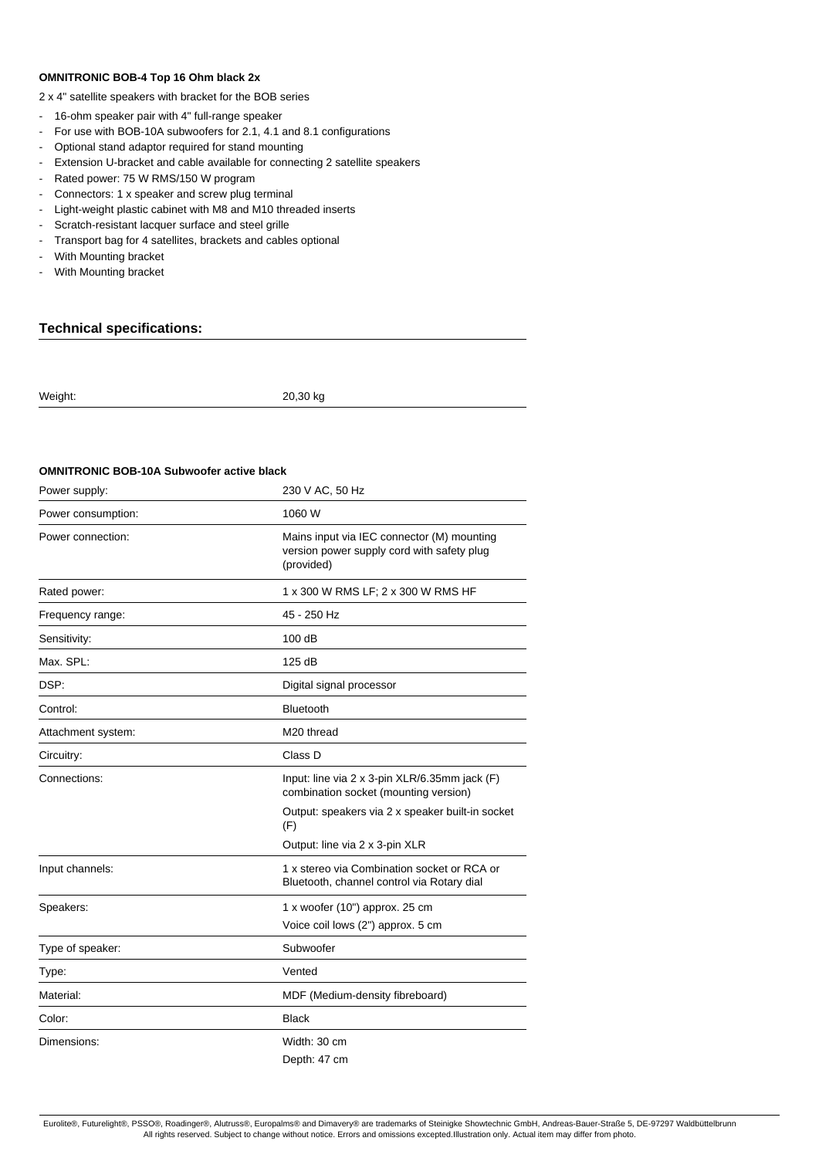#### **OMNITRONIC BOB-4 Top 16 Ohm black 2x**

2 x 4" satellite speakers with bracket for the BOB series

- 16-ohm speaker pair with 4" full-range speaker
- For use with BOB-10A subwoofers for 2.1, 4.1 and 8.1 configurations
- Optional stand adaptor required for stand mounting
- Extension U-bracket and cable available for connecting 2 satellite speakers
- Rated power: 75 W RMS/150 W program
- Connectors: 1 x speaker and screw plug terminal
- Light-weight plastic cabinet with M8 and M10 threaded inserts
- Scratch-resistant lacquer surface and steel grille
- Transport bag for 4 satellites, brackets and cables optional
- With Mounting bracket
- With Mounting bracket

## **Technical specifications:**

| Weight: | 20,30 kg |
|---------|----------|
|         |          |

#### **OMNITRONIC BOB-10A Subwoofer active black**

| Power supply:      | 230 V AC, 50 Hz                                                                                        |
|--------------------|--------------------------------------------------------------------------------------------------------|
| Power consumption: | 1060 W                                                                                                 |
| Power connection:  | Mains input via IEC connector (M) mounting<br>version power supply cord with safety plug<br>(provided) |
| Rated power:       | 1 x 300 W RMS LF; 2 x 300 W RMS HF                                                                     |
| Frequency range:   | 45 - 250 Hz                                                                                            |
| Sensitivity:       | 100 dB                                                                                                 |
| Max. SPL:          | 125 dB                                                                                                 |
| DSP:               | Digital signal processor                                                                               |
| Control:           | Bluetooth                                                                                              |
| Attachment system: | M <sub>20</sub> thread                                                                                 |
| Circuitry:         | Class D                                                                                                |
| Connections:       | Input: line via 2 x 3-pin XLR/6.35mm jack (F)<br>combination socket (mounting version)                 |
|                    | Output: speakers via 2 x speaker built-in socket<br>(F)                                                |
|                    | Output: line via 2 x 3-pin XLR                                                                         |
| Input channels:    | 1 x stereo via Combination socket or RCA or<br>Bluetooth, channel control via Rotary dial              |
| Speakers:          | $1 x$ woofer (10") approx. 25 cm                                                                       |
|                    | Voice coil lows (2") approx. 5 cm                                                                      |
| Type of speaker:   | Subwoofer                                                                                              |
| Type:              | Vented                                                                                                 |
| Material:          | MDF (Medium-density fibreboard)                                                                        |
| Color:             | <b>Black</b>                                                                                           |
| Dimensions:        | Width: 30 cm                                                                                           |
|                    | Depth: 47 cm                                                                                           |

Eurolite®, Futurelight®, PSSO®, Roadinger®, Alutruss®, Europalms® and Dimavery® are trademarks of Steinigke Showtechnic GmbH, Andreas-Bauer-Straße 5, DE-97297 Waldbüttelbrunn All rights reserved. Subject to change without notice. Errors and omissions excepted.Illustration only. Actual item may differ from photo.